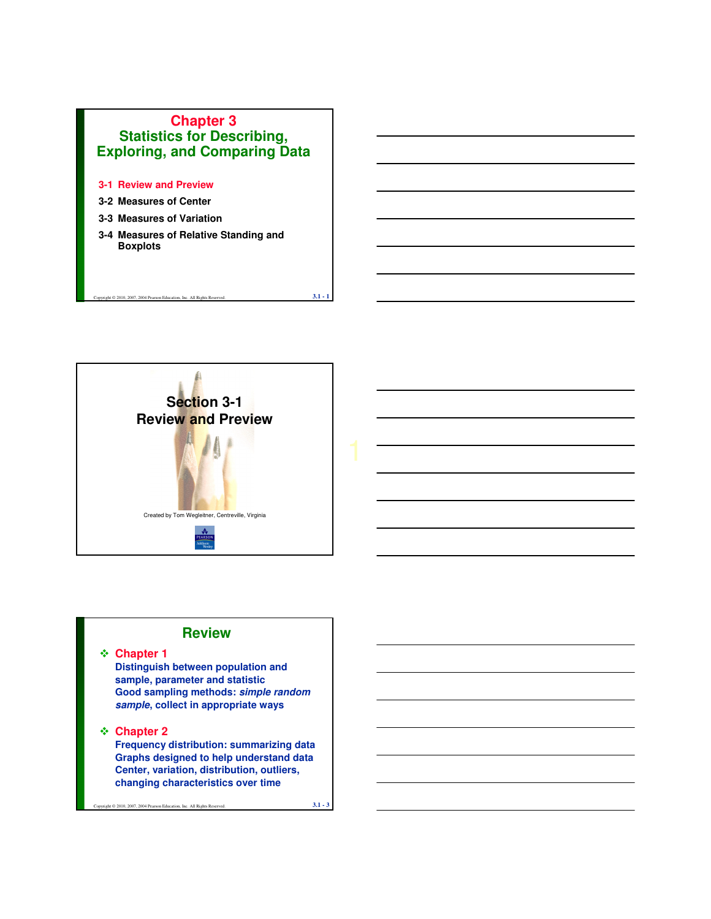

- **3-1 Review and Preview**
- **3-2 Measures of Center**
- **3-3 Measures of Variation**
- **3-4 Measures of Relative Standing and Boxplots**

ght  $@$  2010, 2007, 2004 Pearson Education, Inc. All Rights Reserved.  $3.1 - 1$ 



#### **Review**

**Chapter 1**

**Distinguish between population and sample, parameter and statistic Good sampling methods: simple random sample, collect in appropriate ways** 

#### **Chapter 2**

**Frequency distribution: summarizing data Graphs designed to help understand data Center, variation, distribution, outliers, changing characteristics over time**

Copyright © 2010, 2007, 2004 Pearson Education, Inc. All Rights Reserved. **3.1 - 3**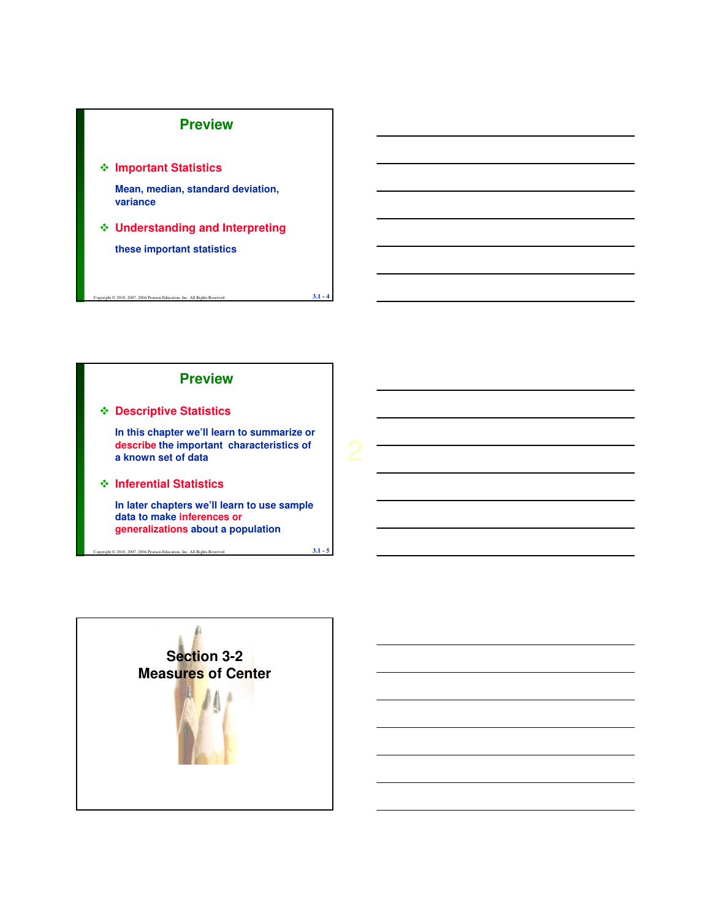#### **Preview**

**Important Statistics** 

**Mean, median, standard deviation, variance**

 **Understanding and Interpreting these important statistics**

 $\overline{0}$  2010, 2007, 2004 Pearson Education, Inc. All Rights Reserved.  $3.1 - 4$ 

# **Descriptive Statistics In this chapter we'll learn to summarize or describe the important characteristics of a known set of data Inferential Statistics In later chapters we'll learn to use sample data to make inferences or Preview**

**generalizations about a population**

 $\infty$  2010, 2007, 2004 Pearson Education, Inc. All Rights Reserved. **3.1 - 5** 

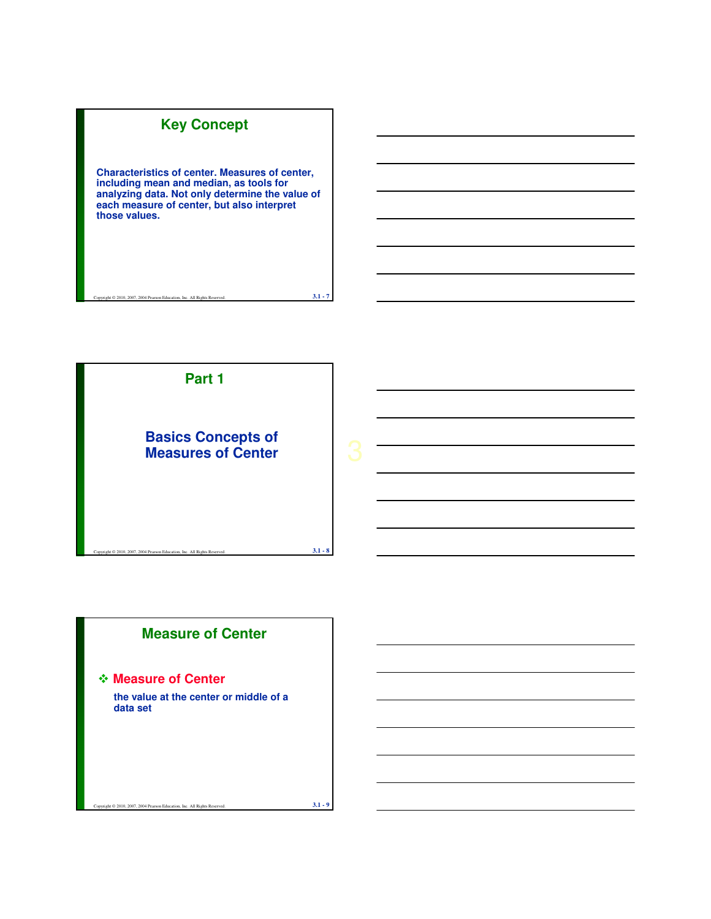# **Key Concept**

**Characteristics of center. Measures of center, including mean and median, as tools for analyzing data. Not only determine the value of each measure of center, but also interpret those values.**

ight © 2010, 2007, 2004 Pearson Education, Inc. All Rights Reserved. **3.1 - 7** 



# **Measure of Center**

#### **Measure of Center**

**the value at the center or middle of a data set**

ght  $@$  2010, 2007, 2004 Pearson Education, Inc. All Rights Reserved. **3.1** -  $9$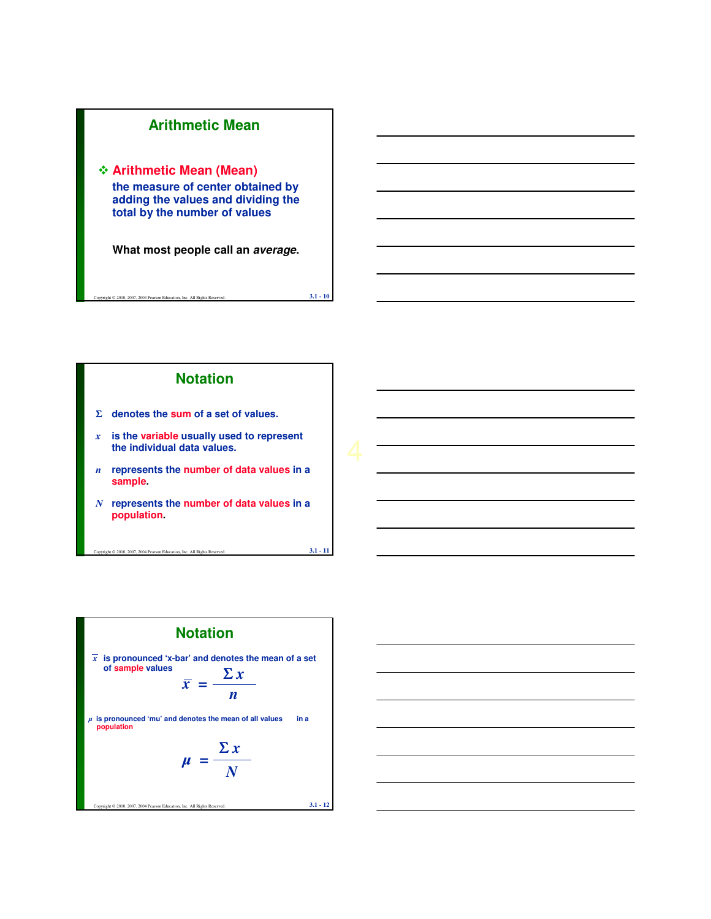

ght  $@$  2010, 2007, 2004 Pearson Education, Inc. All Rights Reserved. **3.1 - 10** 



ht © 2010, 2007, 2004 Pearson Education, Inc. All Rights Reserved. **3.1 - 11** 

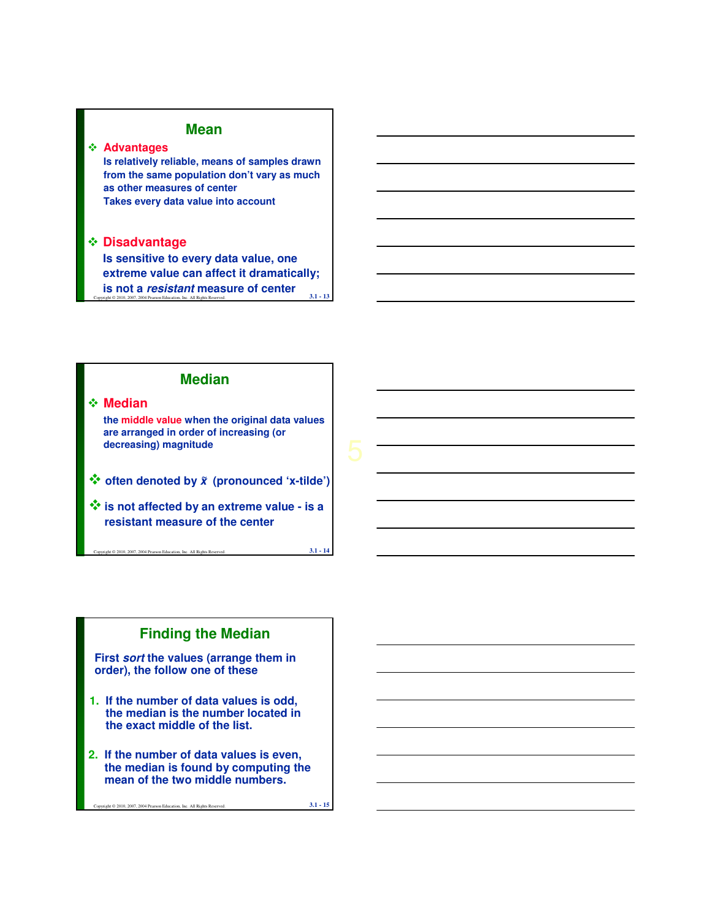### **Mean**

#### **Advantages**

**Is relatively reliable, means of samples drawn from the same population don't vary as much as other measures of center Takes every data value into account**

#### **Disadvantage**

Copyright © 2010, 2007, 2004 Pearson Education, Inc. All Rights Reserved. **3.1 - 13 Is sensitive to every data value, one extreme value can affect it dramatically; is not a resistant measure of center**



#### **Median**

**the middle value when the original data values are arranged in order of increasing (or decreasing) magnitude**

- **often denoted by <sup>x</sup> (pronounced 'x-tilde') <sup>~</sup>**
- **is not affected by an extreme value is a resistant measure of the center**

007, 2004 Pearson Education, Inc. All Rights Reserved. **3.1 - 14** 

### **Finding the Median**

**First sort the values (arrange them in order), the follow one of these**

- **1. If the number of data values is odd, the median is the number located in the exact middle of the list.**
- **2. If the number of data values is even, the median is found by computing the mean of the two middle numbers.**

Copyright © 2010, 2007, 2004 Pearson Education, Inc. All Rights Reserved. **3.1 - 15**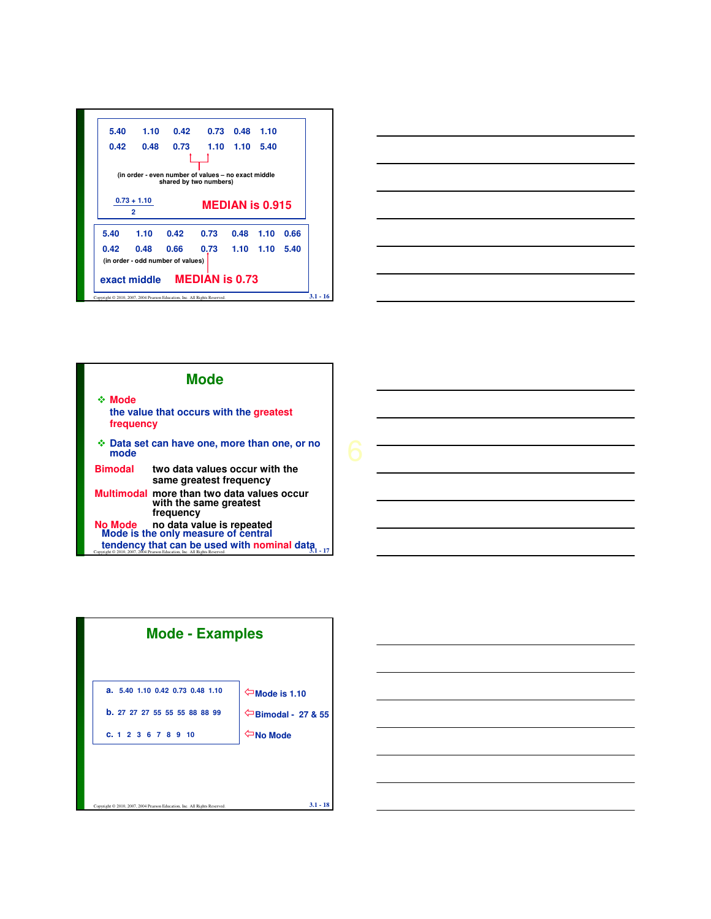|      | $0.73 + 1.10$ |      | shared by two numbers) | $MEDIAN$ is $0.915$ |             |      |
|------|---------------|------|------------------------|---------------------|-------------|------|
|      | 2             |      |                        |                     |             |      |
|      |               |      |                        |                     |             |      |
| 5.40 | 1.10          | 0.42 | 0.73                   |                     | $0.48$ 1.10 | 0.66 |







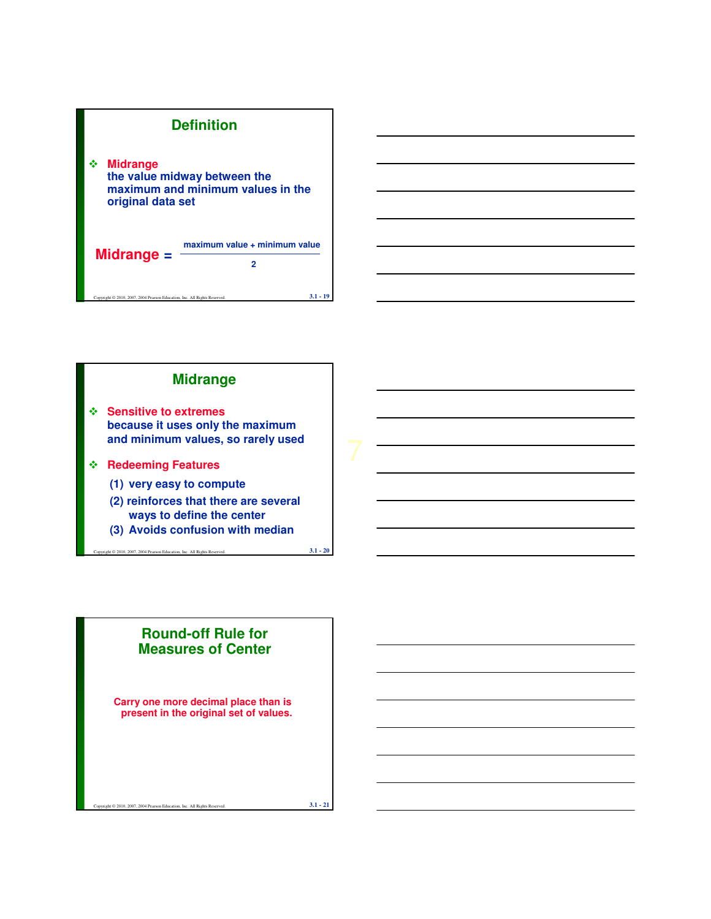



**(3) Avoids confusion with median**

 $2007, 2004$  Pearson Education, Inc. All Rights Reserved.  $3.1 - 20$ 

### **Round-off Rule for Measures of Center**

**Carry one more decimal place than is present in the original set of values.**

ht © 2010, 2007, 2004 Pearson Education, Inc. All Rights Reserved. **3.1 - 21**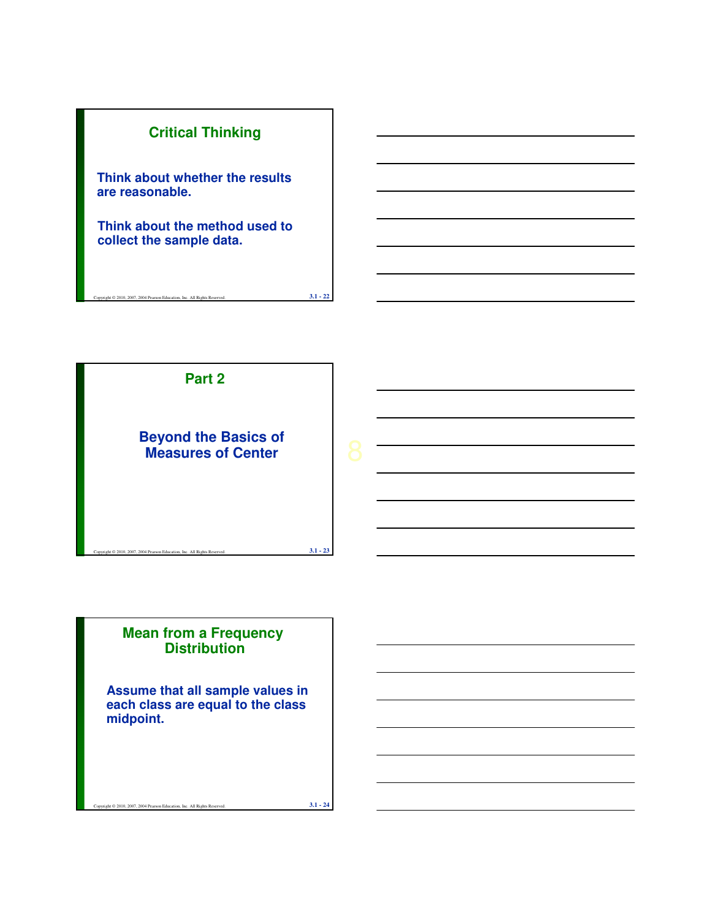



### **Mean from a Frequency Distribution**

**Assume that all sample values in each class are equal to the class midpoint.**

ght  $@ 2010$ ,  $2007$ ,  $2004$  Pearson Education, Inc. All Rights Reserved. **3.1 - 24**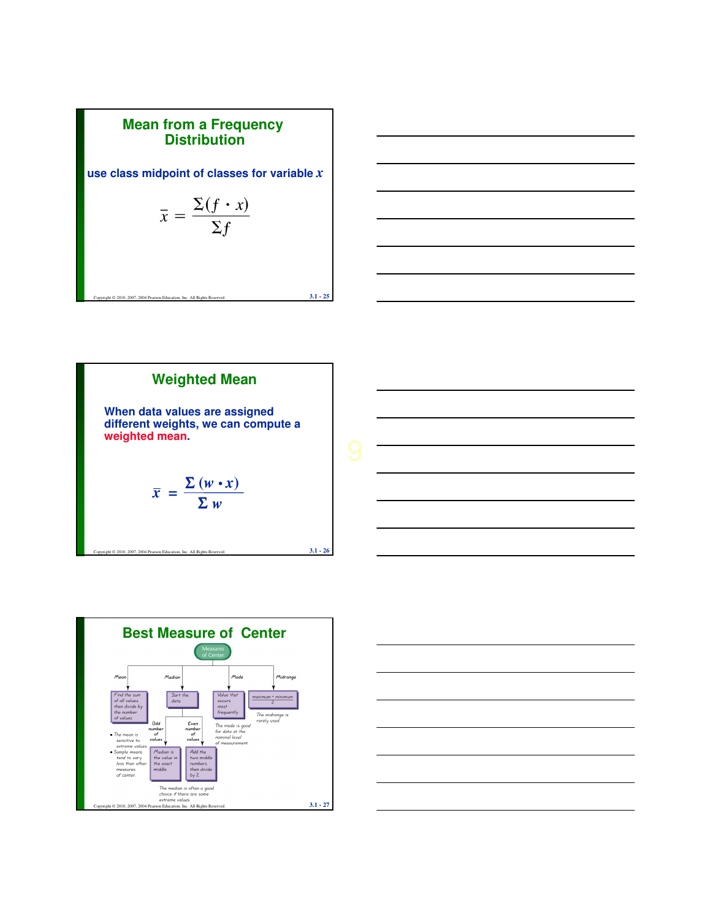





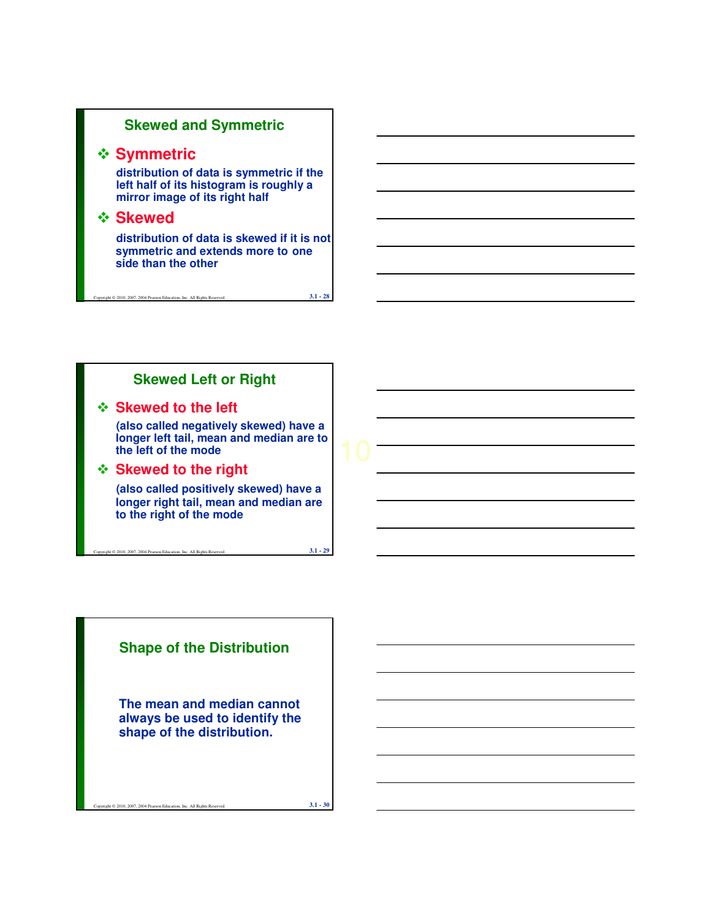### **Skewed and Symmetric**

### **❖ Symmetric**

**distribution of data is symmetric if the left half of its histogram is roughly a mirror image of its right half**

### **Skewed**

**distribution of data is skewed if it is not symmetric and extends more to one side than the other**

ght  $@ 2010$ , 2007, 2004 Pearson Education, Inc. All Rights Reserved.  $3.1 - 28$ 

### **Skewed Left or Right**

#### **Skewed to the left**

**(also called negatively skewed) have a longer left tail, mean and median are to the left of the mode**

#### **Skewed to the right**

**(also called positively skewed) have a longer right tail, mean and median are to the right of the mode**

Copyright © 2010, 2007, 2004 Pearson Education, Inc. All Rights Reserved. **3.1 - 29** 

**Shape of the Distribution**

**The mean and median cannot always be used to identify the shape of the distribution.**

Copyright © 2010, 2007, 2004 Pearson Education, Inc. All Rights Reserved. **3.1 - 30**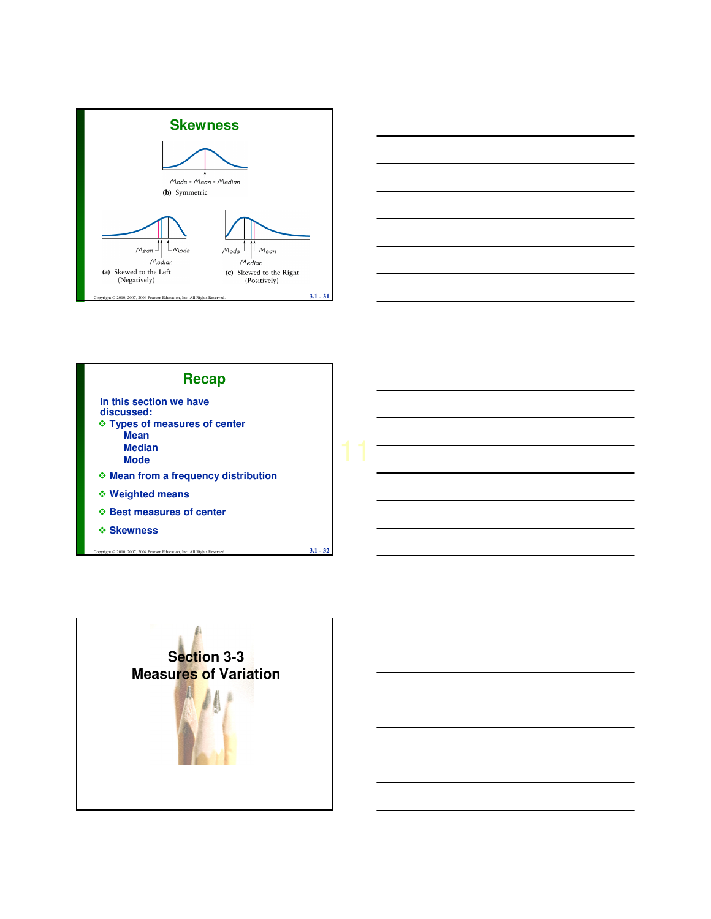





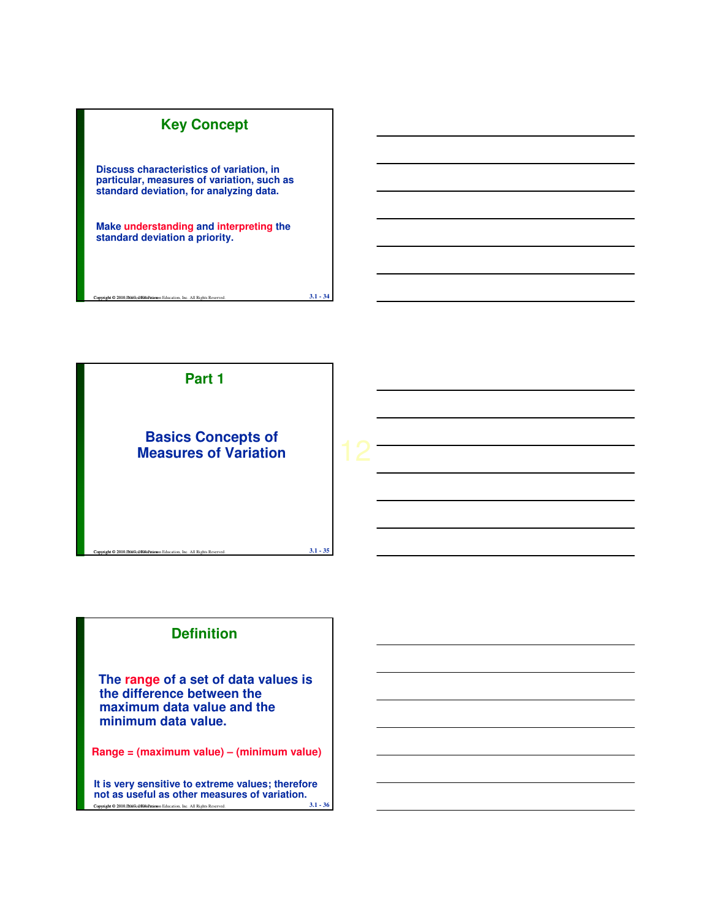## **Key Concept**

**Discuss characteristics of variation, in particular, measures of variation, such as standard deviation, for analyzing data.**

**Make understanding and interpreting the standard deviation a priority.**



**Comparison Control Pearson Education, Inc. All Rights Reserved. 3.1 - 34 3.1 - 34** 

# **Definition**

**The range of a set of data values is the difference between the maximum data value and the minimum data value.**

**Range = (maximum value) – (minimum value)**

Copyright © 2010, **2007, 2007**, 2010, 2010 Pearson Education, Inc. All Rights Reserved. **3.1 - 36 It is very sensitive to extreme values; therefore not as useful as other measures of variation.**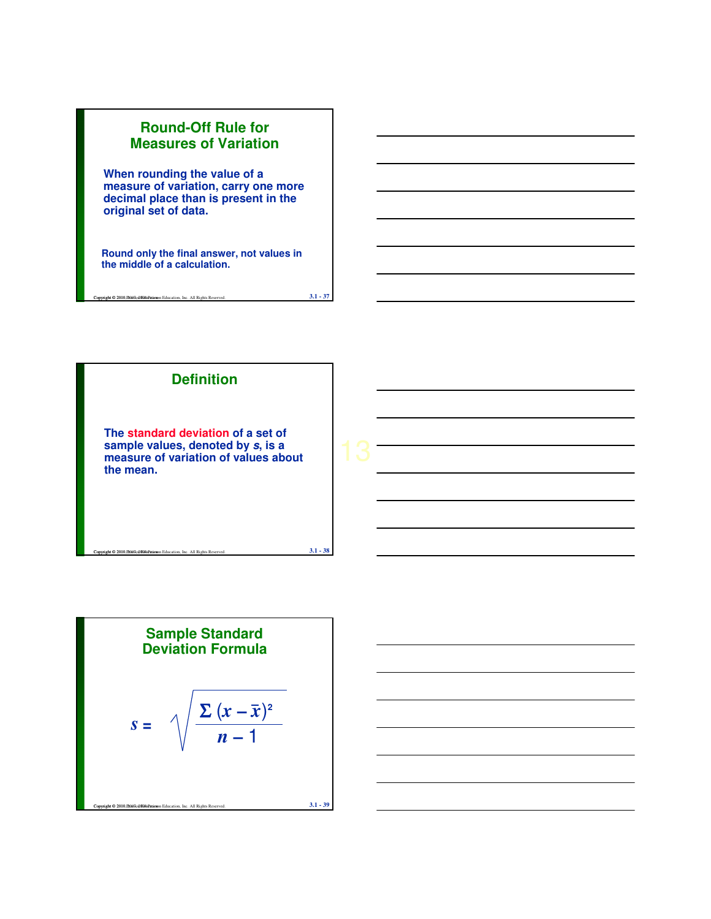

Copyright © 2010, 2007, 2007, 2009, 2010, 2010 Pearson Education, Inc. All Rights Reserved. **3.1 - 37** 



Sample Standard  
Deviation Formula  

$$
S = \sqrt{\frac{\sum (x - \bar{x})^2}{n - 1}}
$$